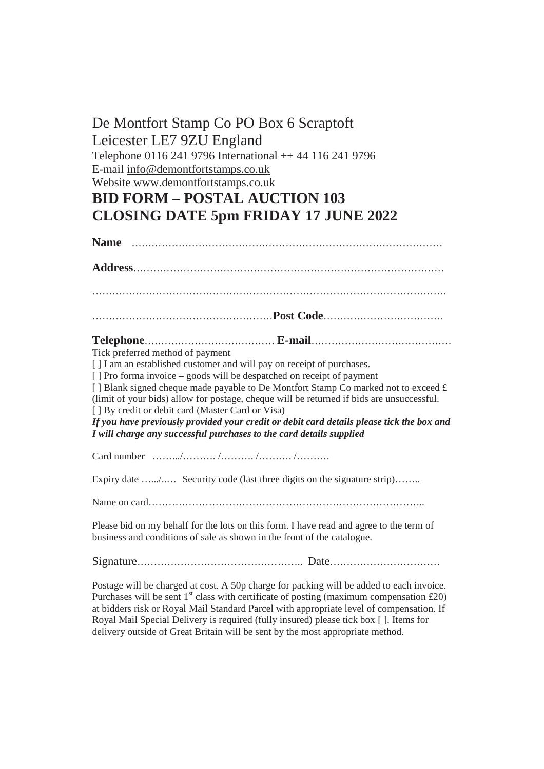## De Montfort Stamp Co PO Box 6 Scraptoft Leicester LE7 9ZU England Telephone 0116 241 9796 International ++ 44 116 241 9796 E-mail [info@demontfortstamps.co.uk](mailto:info@demontfortstamps.co.uk) Website [www.demontfortstamps.co.uk](http://www.demontfortstamps.co.uk) **BID FORM – POSTAL AUCTION 103 CLOSING DATE 5pm FRIDAY 17 JUNE 2022 Name** …………………………………………………………………………………

**Address**………………………………………………………………………………… ……………………………………………………………………………………………. ………………………………………………**Post Code**………………………………

## **Telephone**………………………………… **E-mail**……………………………………

Tick preferred method of payment

[ ] I am an established customer and will pay on receipt of purchases.

[ ] Pro forma invoice – goods will be despatched on receipt of payment

[ ] Blank signed cheque made payable to De Montfort Stamp Co marked not to exceed £ (limit of your bids) allow for postage, cheque will be returned if bids are unsuccessful. [ ] By credit or debit card (Master Card or Visa)

*If you have previously provided your credit or debit card details please tick the box and I will charge any successful purchases to the card details supplied* 

Card number …….../………. /………. /………. /……….

Expiry date …............. Security code (last three digits on the signature strip)……..

Name on card………………………………………………………………………..

Please bid on my behalf for the lots on this form. I have read and agree to the term of business and conditions of sale as shown in the front of the catalogue.

Signature………………………………………….. Date……………………………

Postage will be charged at cost. A 50p charge for packing will be added to each invoice. Purchases will be sent  $1<sup>st</sup>$  class with certificate of posting (maximum compensation £20) at bidders risk or Royal Mail Standard Parcel with appropriate level of compensation. If Royal Mail Special Delivery is required (fully insured) please tick box [ ]. Items for delivery outside of Great Britain will be sent by the most appropriate method.